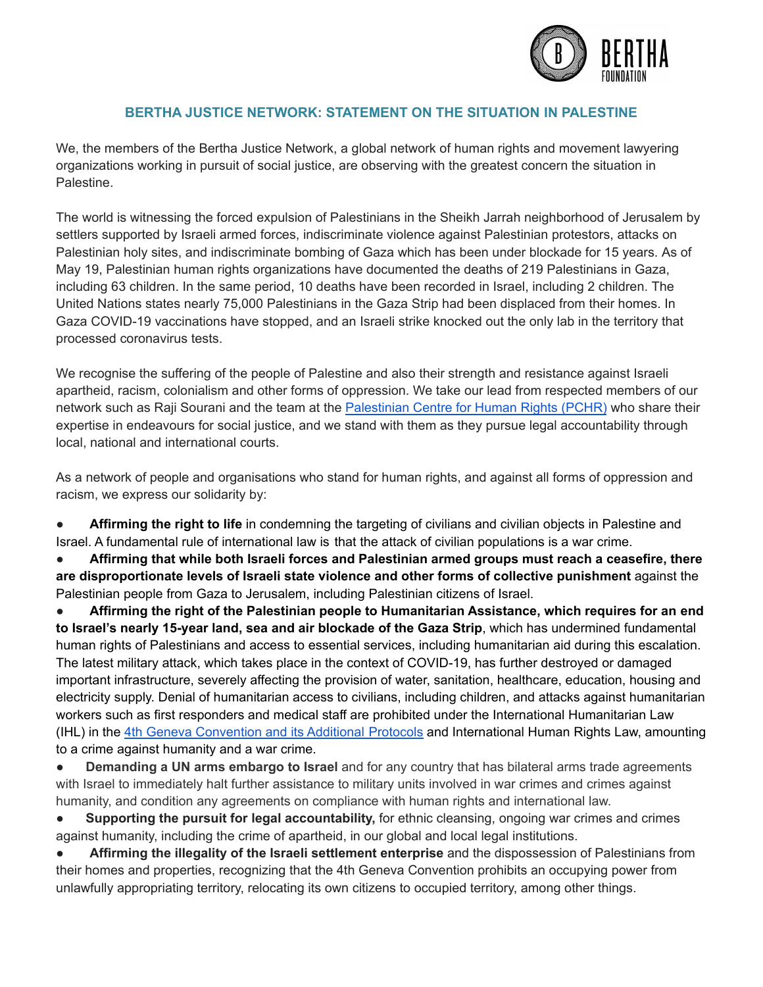

## **BERTHA JUSTICE NETWORK: STATEMENT ON THE SITUATION IN PALESTINE**

We, the members of the Bertha Justice Network, a global network of human rights and movement lawyering organizations working in pursuit of social justice, are observing with the greatest concern the situation in **Palestine** 

The world is witnessing the forced expulsion of Palestinians in the Sheikh Jarrah neighborhood of Jerusalem by settlers supported by Israeli armed forces, indiscriminate violence against Palestinian protestors, attacks on Palestinian holy sites, and indiscriminate bombing of Gaza which has been under blockade for 15 years. As of May 19, Palestinian human rights organizations have documented the deaths of 219 Palestinians in Gaza, including 63 children. In the same period, 10 deaths have been recorded in Israel, including 2 children. The United Nations states nearly 75,000 Palestinians in the Gaza Strip had been displaced from their homes. In Gaza COVID-19 vaccinations have stopped, and an Israeli strike knocked out the only lab in the territory that processed coronavirus tests.

We recognise the suffering of the people of Palestine and also their strength and resistance against Israeli apartheid, racism, colonialism and other forms of oppression. We take our lead from respected members of our network such as Raji Sourani and the team at the Palestinian [Centre for Human Rights \(PCHR\)](https://www.pchrgaza.org/en/) who share their expertise in endeavours for social justice, and we stand with them as they pursue legal accountability through local, national and international courts.

As a network of people and organisations who stand for human rights, and against all forms of oppression and racism, we express our solidarity by:

**• Affirming the right to life** in condemning the targeting of civilians and civilian objects in Palestine and Israel. A fundamental rule of international law is that the attack of civilian populations is a war crime.

● **Affirming that while both Israeli forces and Palestinian armed groups must reach a ceasefire, there are disproportionate levels of Israeli state violence and other forms of collective punishment** against the Palestinian people from Gaza to Jerusalem, including Palestinian citizens of Israel.

● **Affirming the right of the Palestinian people to Humanitarian Assistance, which requires for an end to Israel's nearly 15-year land, sea and air blockade of the Gaza Strip**, which has undermined fundamental human rights of Palestinians and access to essential services, including humanitarian aid during this escalation. The latest military attack, which takes place in the context of COVID-19, has further destroyed or damaged important infrastructure, severely affecting the provision of water, sanitation, healthcare, education, housing and electricity supply. Denial of humanitarian access to civilians, including children, and attacks against humanitarian workers such as first responders and medical staff are prohibited under the International Humanitarian Law (IHL) in the [4th Geneva Convention and its Additional](https://www.icrc.org/en/war-and-law/treaties-customary-law/geneva-conventions) Protocols and International Human Rights Law, amounting to a crime against humanity and a war crime.

● **Demanding a UN arms embargo to Israel** and for any country that has bilateral arms trade agreements with Israel to immediately halt further assistance to military units involved in war crimes and crimes against humanity, and condition any agreements on compliance with human rights and international law.

**Supporting the pursuit for legal accountability,** for ethnic cleansing, ongoing war crimes and crimes against humanity, including the crime of apartheid, in our global and local legal institutions.

● **Affirming the illegality of the Israeli settlement enterprise** and the dispossession of Palestinians from their homes and properties, recognizing that the 4th Geneva Convention prohibits an occupying power from unlawfully appropriating territory, relocating its own citizens to occupied territory, among other things.